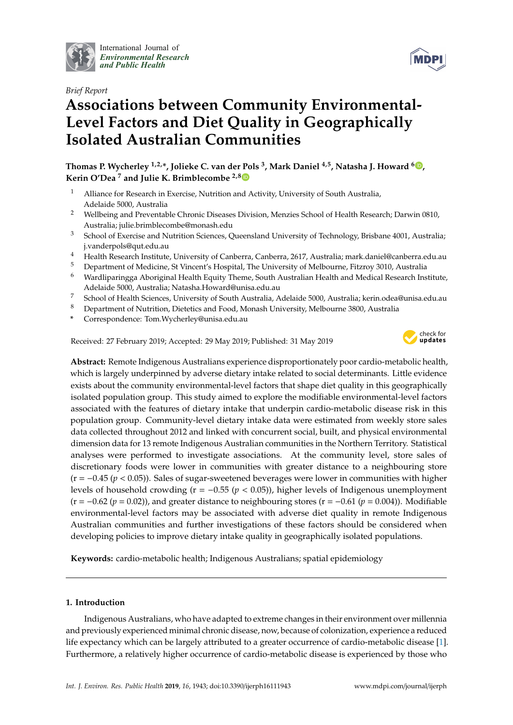

International Journal of *[Environmental Research](http://www.mdpi.com/journal/ijerph) and Public Health*

*Brief Report*



# **Associations between Community Environmental-Level Factors and Diet Quality in Geographically Isolated Australian Communities**

**Thomas P. Wycherley 1,2,\*, Jolieke C. van der Pols <sup>3</sup> , Mark Daniel 4,5, Natasha J. Howard <sup>6</sup> [,](https://orcid.org/0000-0002-8099-3107) Kerin O'Dea <sup>7</sup> and Julie K. Brimblecombe 2,[8](https://orcid.org/0000-0002-1977-276X)**

- <sup>1</sup> Alliance for Research in Exercise, Nutrition and Activity, University of South Australia, Adelaide 5000, Australia
- <sup>2</sup> Wellbeing and Preventable Chronic Diseases Division, Menzies School of Health Research; Darwin 0810, Australia; julie.brimblecombe@monash.edu
- <sup>3</sup> School of Exercise and Nutrition Sciences, Queensland University of Technology, Brisbane 4001, Australia; j.vanderpols@qut.edu.au
- <sup>4</sup> Health Research Institute, University of Canberra, Canberra, 2617, Australia; mark.daniel@canberra.edu.au
- <sup>5</sup> Department of Medicine, St Vincent's Hospital, The University of Melbourne, Fitzroy 3010, Australia<br><sup>6</sup> Wardlinaringga Aboriginal Health Equity Theme, South Australian Health and Medical Research Ins
- <sup>6</sup> Wardliparingga Aboriginal Health Equity Theme, South Australian Health and Medical Research Institute, Adelaide 5000, Australia; Natasha.Howard@unisa.edu.au
- <sup>7</sup> School of Health Sciences, University of South Australia, Adelaide 5000, Australia; kerin.odea@unisa.edu.au
- <sup>8</sup> Department of Nutrition, Dietetics and Food, Monash University, Melbourne 3800, Australia
- **\*** Correspondence: Tom.Wycherley@unisa.edu.au

Received: 27 February 2019; Accepted: 29 May 2019; Published: 31 May 2019



**Abstract:** Remote Indigenous Australians experience disproportionately poor cardio-metabolic health, which is largely underpinned by adverse dietary intake related to social determinants. Little evidence exists about the community environmental-level factors that shape diet quality in this geographically isolated population group. This study aimed to explore the modifiable environmental-level factors associated with the features of dietary intake that underpin cardio-metabolic disease risk in this population group. Community-level dietary intake data were estimated from weekly store sales data collected throughout 2012 and linked with concurrent social, built, and physical environmental dimension data for 13 remote Indigenous Australian communities in the Northern Territory. Statistical analyses were performed to investigate associations. At the community level, store sales of discretionary foods were lower in communities with greater distance to a neighbouring store (r = −0.45 (*p* < 0.05)). Sales of sugar-sweetened beverages were lower in communities with higher levels of household crowding (r = −0.55 (*p* < 0.05)), higher levels of Indigenous unemployment (r = −0.62 (*p* = 0.02)), and greater distance to neighbouring stores (r = −0.61 (*p* = 0.004)). Modifiable environmental-level factors may be associated with adverse diet quality in remote Indigenous Australian communities and further investigations of these factors should be considered when developing policies to improve dietary intake quality in geographically isolated populations.

**Keywords:** cardio-metabolic health; Indigenous Australians; spatial epidemiology

# **1. Introduction**

Indigenous Australians, who have adapted to extreme changes in their environment over millennia and previously experienced minimal chronic disease, now, because of colonization, experience a reduced life expectancy which can be largely attributed to a greater occurrence of cardio-metabolic disease [\[1\]](#page-6-0). Furthermore, a relatively higher occurrence of cardio-metabolic disease is experienced by those who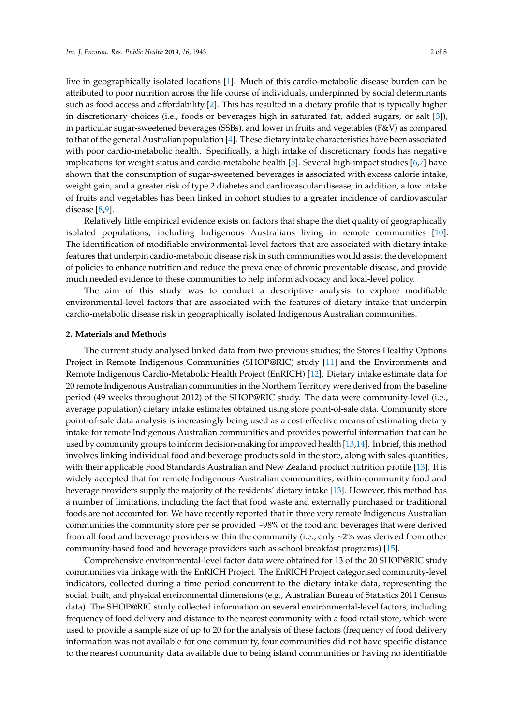live in geographically isolated locations [\[1\]](#page-6-0). Much of this cardio-metabolic disease burden can be attributed to poor nutrition across the life course of individuals, underpinned by social determinants such as food access and affordability [\[2\]](#page-6-1). This has resulted in a dietary profile that is typically higher in discretionary choices (i.e., foods or beverages high in saturated fat, added sugars, or salt [\[3\]](#page-6-2)), in particular sugar-sweetened beverages (SSBs), and lower in fruits and vegetables (F&V) as compared to that of the general Australian population [\[4\]](#page-6-3). These dietary intake characteristics have been associated with poor cardio-metabolic health. Specifically, a high intake of discretionary foods has negative implications for weight status and cardio-metabolic health [\[5\]](#page-6-4). Several high-impact studies [\[6](#page-6-5)[,7\]](#page-6-6) have shown that the consumption of sugar-sweetened beverages is associated with excess calorie intake, weight gain, and a greater risk of type 2 diabetes and cardiovascular disease; in addition, a low intake of fruits and vegetables has been linked in cohort studies to a greater incidence of cardiovascular disease [\[8](#page-6-7)[,9\]](#page-6-8).

Relatively little empirical evidence exists on factors that shape the diet quality of geographically isolated populations, including Indigenous Australians living in remote communities [\[10\]](#page-6-9). The identification of modifiable environmental-level factors that are associated with dietary intake features that underpin cardio-metabolic disease risk in such communities would assist the development of policies to enhance nutrition and reduce the prevalence of chronic preventable disease, and provide much needed evidence to these communities to help inform advocacy and local-level policy.

The aim of this study was to conduct a descriptive analysis to explore modifiable environmental-level factors that are associated with the features of dietary intake that underpin cardio-metabolic disease risk in geographically isolated Indigenous Australian communities.

### **2. Materials and Methods**

The current study analysed linked data from two previous studies; the Stores Healthy Options Project in Remote Indigenous Communities (SHOP@RIC) study [\[11\]](#page-6-10) and the Environments and Remote Indigenous Cardio-Metabolic Health Project (EnRICH) [\[12\]](#page-6-11). Dietary intake estimate data for 20 remote Indigenous Australian communities in the Northern Territory were derived from the baseline period (49 weeks throughout 2012) of the SHOP@RIC study. The data were community-level (i.e., average population) dietary intake estimates obtained using store point-of-sale data. Community store point-of-sale data analysis is increasingly being used as a cost-effective means of estimating dietary intake for remote Indigenous Australian communities and provides powerful information that can be used by community groups to inform decision-making for improved health [\[13,](#page-6-12)[14\]](#page-6-13). In brief, this method involves linking individual food and beverage products sold in the store, along with sales quantities, with their applicable Food Standards Australian and New Zealand product nutrition profile [\[13\]](#page-6-12). It is widely accepted that for remote Indigenous Australian communities, within-community food and beverage providers supply the majority of the residents' dietary intake [\[13\]](#page-6-12). However, this method has a number of limitations, including the fact that food waste and externally purchased or traditional foods are not accounted for. We have recently reported that in three very remote Indigenous Australian communities the community store per se provided ~98% of the food and beverages that were derived from all food and beverage providers within the community (i.e., only  $\sim$ 2% was derived from other community-based food and beverage providers such as school breakfast programs) [\[15\]](#page-6-14).

Comprehensive environmental-level factor data were obtained for 13 of the 20 SHOP@RIC study communities via linkage with the EnRICH Project. The EnRICH Project categorised community-level indicators, collected during a time period concurrent to the dietary intake data, representing the social, built, and physical environmental dimensions (e.g., Australian Bureau of Statistics 2011 Census data). The SHOP@RIC study collected information on several environmental-level factors, including frequency of food delivery and distance to the nearest community with a food retail store, which were used to provide a sample size of up to 20 for the analysis of these factors (frequency of food delivery information was not available for one community, four communities did not have specific distance to the nearest community data available due to being island communities or having no identifiable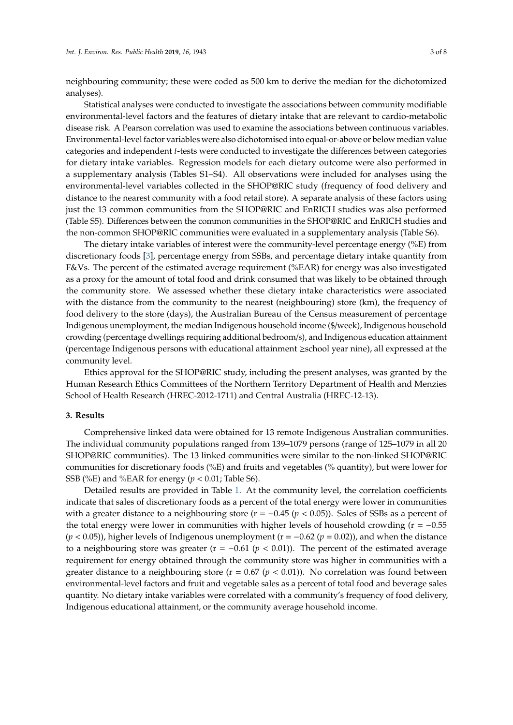neighbouring community; these were coded as 500 km to derive the median for the dichotomized analyses).

Statistical analyses were conducted to investigate the associations between community modifiable environmental-level factors and the features of dietary intake that are relevant to cardio-metabolic disease risk. A Pearson correlation was used to examine the associations between continuous variables. Environmental-level factor variables were also dichotomised into equal-or-above or below median value categories and independent *t*-tests were conducted to investigate the differences between categories for dietary intake variables. Regression models for each dietary outcome were also performed in a supplementary analysis (Tables S1–S4). All observations were included for analyses using the environmental-level variables collected in the SHOP@RIC study (frequency of food delivery and distance to the nearest community with a food retail store). A separate analysis of these factors using just the 13 common communities from the SHOP@RIC and EnRICH studies was also performed (Table S5). Differences between the common communities in the SHOP@RIC and EnRICH studies and the non-common SHOP@RIC communities were evaluated in a supplementary analysis (Table S6).

The dietary intake variables of interest were the community-level percentage energy (%E) from discretionary foods [\[3\]](#page-6-2), percentage energy from SSBs, and percentage dietary intake quantity from F&Vs. The percent of the estimated average requirement (%EAR) for energy was also investigated as a proxy for the amount of total food and drink consumed that was likely to be obtained through the community store. We assessed whether these dietary intake characteristics were associated with the distance from the community to the nearest (neighbouring) store (km), the frequency of food delivery to the store (days), the Australian Bureau of the Census measurement of percentage Indigenous unemployment, the median Indigenous household income (\$/week), Indigenous household crowding (percentage dwellings requiring additional bedroom/s), and Indigenous education attainment (percentage Indigenous persons with educational attainment ≥school year nine), all expressed at the community level.

Ethics approval for the SHOP@RIC study, including the present analyses, was granted by the Human Research Ethics Committees of the Northern Territory Department of Health and Menzies School of Health Research (HREC-2012-1711) and Central Australia (HREC-12-13).

#### **3. Results**

Comprehensive linked data were obtained for 13 remote Indigenous Australian communities. The individual community populations ranged from 139–1079 persons (range of 125–1079 in all 20 SHOP@RIC communities). The 13 linked communities were similar to the non-linked SHOP@RIC communities for discretionary foods (%E) and fruits and vegetables (% quantity), but were lower for SSB (%E) and %EAR for energy (*p* < 0.01; Table S6).

Detailed results are provided in Table [1.](#page-3-0) At the community level, the correlation coefficients indicate that sales of discretionary foods as a percent of the total energy were lower in communities with a greater distance to a neighbouring store ( $r = -0.45$  ( $p < 0.05$ )). Sales of SSBs as a percent of the total energy were lower in communities with higher levels of household crowding ( $r = -0.55$ ) (*p* < 0.05)), higher levels of Indigenous unemployment (*r* = −0.62 (*p* = 0.02)), and when the distance to a neighbouring store was greater  $(r = -0.61 \ (p < 0.01))$ . The percent of the estimated average requirement for energy obtained through the community store was higher in communities with a greater distance to a neighbouring store ( $r = 0.67$  ( $p < 0.01$ )). No correlation was found between environmental-level factors and fruit and vegetable sales as a percent of total food and beverage sales quantity. No dietary intake variables were correlated with a community's frequency of food delivery, Indigenous educational attainment, or the community average household income.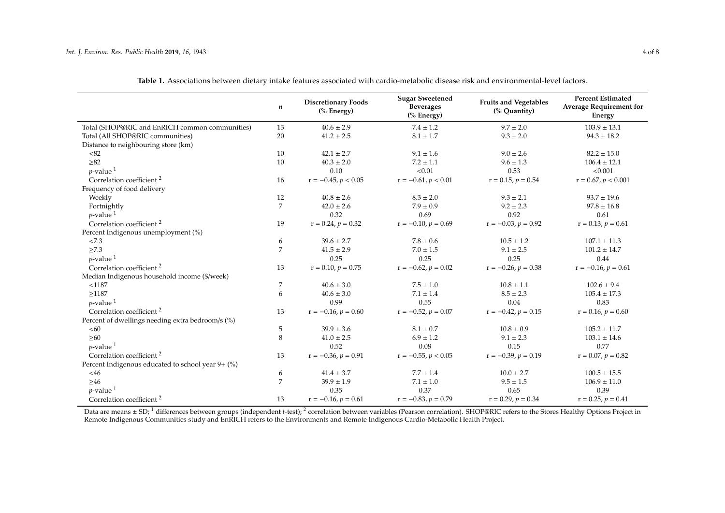|                                                   | $\boldsymbol{n}$ | <b>Discretionary Foods</b><br>$%$ Energy $)$ | <b>Sugar Sweetened</b><br><b>Beverages</b><br>(% Energy) | <b>Fruits and Vegetables</b><br>(% Quantity) | <b>Percent Estimated</b><br><b>Average Requirement for</b><br>Energy |
|---------------------------------------------------|------------------|----------------------------------------------|----------------------------------------------------------|----------------------------------------------|----------------------------------------------------------------------|
| Total (SHOP@RIC and EnRICH common communities)    | 13               | $40.6 \pm 2.9$                               | $7.4 \pm 1.2$                                            | $9.7 \pm 2.0$                                | $103.9 \pm 13.1$                                                     |
| Total (All SHOP@RIC communities)                  | 20               | $41.2 \pm 2.5$                               | $8.1 \pm 1.7$                                            | $9.3 \pm 2.0$                                | $94.3 \pm 18.2$                                                      |
| Distance to neighbouring store (km)               |                  |                                              |                                                          |                                              |                                                                      |
| < 82                                              | 10               | $42.1 \pm 2.7$                               | $9.1 \pm 1.6$                                            | $9.0 \pm 2.6$                                | $82.2 \pm 15.0$                                                      |
| >82                                               | 10               | $40.3 \pm 2.0$                               | $7.2\pm1.1$                                              | $9.6 \pm 1.3$                                | $106.4 \pm 12.1$                                                     |
| $p$ -value <sup>1</sup>                           |                  | 0.10                                         | < 0.01                                                   | 0.53                                         | < 0.001                                                              |
| Correlation coefficient <sup>2</sup>              | 16               | $r = -0.45, p < 0.05$                        | $r = -0.61, p < 0.01$                                    | $r = 0.15, p = 0.54$                         | $r = 0.67, p < 0.001$                                                |
| Frequency of food delivery                        |                  |                                              |                                                          |                                              |                                                                      |
| Weekly                                            | 12               | $40.8 \pm 2.6$                               | $8.3 \pm 2.0$                                            | $9.3 \pm 2.1$                                | $93.7 \pm 19.6$                                                      |
| Fortnightly                                       | $\overline{7}$   | $42.0 \pm 2.6$                               | $7.9 \pm 0.9$                                            | $9.2 \pm 2.3$                                | $97.8 \pm 16.8$                                                      |
| $p$ -value <sup>1</sup>                           |                  | 0.32                                         | 0.69                                                     | 0.92                                         | 0.61                                                                 |
| Correlation coefficient <sup>2</sup>              | 19               | $r = 0.24, p = 0.32$                         | $r = -0.10, p = 0.69$                                    | $r = -0.03, p = 0.92$                        | $r = 0.13, p = 0.61$                                                 |
| Percent Indigenous unemployment (%)               |                  |                                              |                                                          |                                              |                                                                      |
| < 7.3                                             | 6                | $39.6 \pm 2.7$                               | $7.8 \pm 0.6$                                            | $10.5 \pm 1.2$                               | $107.1 \pm 11.3$                                                     |
| $\geq$ 7.3                                        | $\overline{7}$   | $41.5 \pm 2.9$                               | $7.0 \pm 1.5$                                            | $9.1 \pm 2.5$                                | $101.2 \pm 14.7$                                                     |
| $p$ -value <sup>1</sup>                           |                  | 0.25                                         | 0.25                                                     | 0.25                                         | 0.44                                                                 |
| Correlation coefficient <sup>2</sup>              | 13               | $r = 0.10, p = 0.75$                         | $r = -0.62, p = 0.02$                                    | $r = -0.26, p = 0.38$                        | $r = -0.16$ , $p = 0.61$                                             |
| Median Indigenous household income (\$/week)      |                  |                                              |                                                          |                                              |                                                                      |
| < 1187                                            | 7                | $40.6 \pm 3.0$                               | $7.5 \pm 1.0$                                            | $10.8 \pm 1.1$                               | $102.6 \pm 9.4$                                                      |
| >1187                                             | 6                | $40.6 \pm 3.0$                               | $7.1 \pm 1.4$                                            | $8.5 \pm 2.3$                                | $105.4 \pm 17.3$                                                     |
| $v$ -value <sup>1</sup>                           |                  | 0.99                                         | 0.55                                                     | 0.04                                         | 0.83                                                                 |
| Correlation coefficient <sup>2</sup>              | 13               | $r = -0.16$ , $p = 0.60$                     | $r = -0.52, p = 0.07$                                    | $r = -0.42, p = 0.15$                        | $r = 0.16, p = 0.60$                                                 |
| Percent of dwellings needing extra bedroom/s (%)  |                  |                                              |                                                          |                                              |                                                                      |
| <60                                               | 5                | $39.9 \pm 3.6$                               | $8.1 \pm 0.7$                                            | $10.8 \pm 0.9$                               | $105.2 \pm 11.7$                                                     |
| $\geq 60$                                         | 8                | $41.0 \pm 2.5$                               | $6.9 \pm 1.2$                                            | $9.1 \pm 2.3$                                | $103.1 \pm 14.6$                                                     |
| $p$ -value <sup>1</sup>                           |                  | 0.52                                         | 0.08                                                     | 0.15                                         | 0.77                                                                 |
| Correlation coefficient <sup>2</sup>              | 13               | $r = -0.36, p = 0.91$                        | $r = -0.55, p < 0.05$                                    | $r = -0.39, p = 0.19$                        | $r = 0.07, p = 0.82$                                                 |
| Percent Indigenous educated to school year 9+ (%) |                  |                                              |                                                          |                                              |                                                                      |
| <46                                               | 6                | $41.4 \pm 3.7$                               | $7.7 \pm 1.4$                                            | $10.0 \pm 2.7$                               | $100.5 \pm 15.5$                                                     |
| $\geq 46$                                         | $\overline{7}$   | $39.9 \pm 1.9$                               | $7.1 \pm 1.0$                                            | $9.5 \pm 1.5$                                | $106.9 \pm 11.0$                                                     |
| $p$ -value <sup>1</sup>                           |                  | 0.35                                         | 0.37                                                     | 0.65                                         | 0.39                                                                 |
| Correlation coefficient <sup>2</sup>              | 13               | $r = -0.16$ , $p = 0.61$                     | $r = -0.83, p = 0.79$                                    | $r = 0.29, p = 0.34$                         | $r = 0.25, p = 0.41$                                                 |

**Table 1.** Associations between dietary intake features associated with cardio-metabolic disease risk and environmental-level factors.

<span id="page-3-0"></span>Data are means ± SD; <sup>1</sup> differences between groups (independent *t*-test); <sup>2</sup> correlation between variables (Pearson correlation). SHOP@RIC refers to the Stores Healthy Options Project in Remote Indigenous Communities study and EnRICH refers to the Environments and Remote Indigenous Cardio-Metabolic Health Project.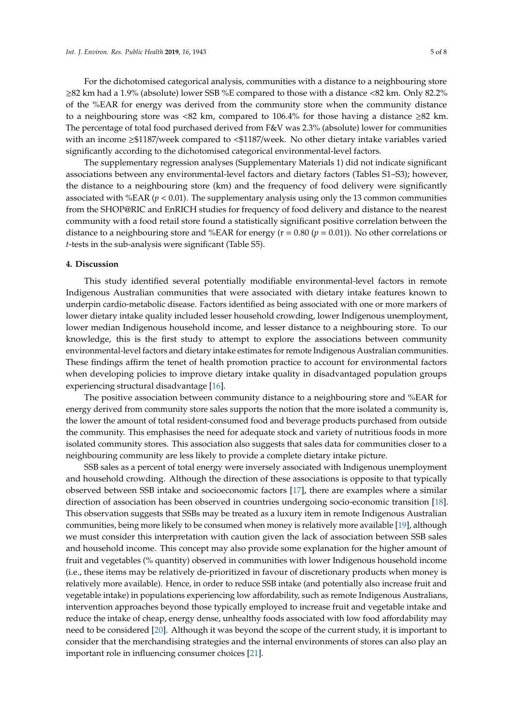For the dichotomised categorical analysis, communities with a distance to a neighbouring store  $\geq$ 82 km had a 1.9% (absolute) lower SSB %E compared to those with a distance <82 km. Only 82.2% of the %EAR for energy was derived from the community store when the community distance to a neighbouring store was <82 km, compared to 106.4% for those having a distance  $\geq 82$  km. The percentage of total food purchased derived from F&V was 2.3% (absolute) lower for communities with an income  $\geq$ \$1187/week compared to <\$1187/week. No other dietary intake variables varied significantly according to the dichotomised categorical environmental-level factors.

The supplementary regression analyses (Supplementary Materials 1) did not indicate significant associations between any environmental-level factors and dietary factors (Tables S1–S3); however, the distance to a neighbouring store (km) and the frequency of food delivery were significantly associated with %EAR ( $p < 0.01$ ). The supplementary analysis using only the 13 common communities from the SHOP@RIC and EnRICH studies for frequency of food delivery and distance to the nearest community with a food retail store found a statistically significant positive correlation between the distance to a neighbouring store and %EAR for energy ( $r = 0.80$  ( $p = 0.01$ )). No other correlations or *t*-tests in the sub-analysis were significant (Table S5).

## **4. Discussion**

This study identified several potentially modifiable environmental-level factors in remote Indigenous Australian communities that were associated with dietary intake features known to underpin cardio-metabolic disease. Factors identified as being associated with one or more markers of lower dietary intake quality included lesser household crowding, lower Indigenous unemployment, lower median Indigenous household income, and lesser distance to a neighbouring store. To our knowledge, this is the first study to attempt to explore the associations between community environmental-level factors and dietary intake estimates for remote Indigenous Australian communities. These findings affirm the tenet of health promotion practice to account for environmental factors when developing policies to improve dietary intake quality in disadvantaged population groups experiencing structural disadvantage [\[16\]](#page-6-15).

The positive association between community distance to a neighbouring store and %EAR for energy derived from community store sales supports the notion that the more isolated a community is, the lower the amount of total resident-consumed food and beverage products purchased from outside the community. This emphasises the need for adequate stock and variety of nutritious foods in more isolated community stores. This association also suggests that sales data for communities closer to a neighbouring community are less likely to provide a complete dietary intake picture.

SSB sales as a percent of total energy were inversely associated with Indigenous unemployment and household crowding. Although the direction of these associations is opposite to that typically observed between SSB intake and socioeconomic factors [\[17\]](#page-7-0), there are examples where a similar direction of association has been observed in countries undergoing socio-economic transition [\[18\]](#page-7-1). This observation suggests that SSBs may be treated as a luxury item in remote Indigenous Australian communities, being more likely to be consumed when money is relatively more available [\[19\]](#page-7-2), although we must consider this interpretation with caution given the lack of association between SSB sales and household income. This concept may also provide some explanation for the higher amount of fruit and vegetables (% quantity) observed in communities with lower Indigenous household income (i.e., these items may be relatively de-prioritized in favour of discretionary products when money is relatively more available). Hence, in order to reduce SSB intake (and potentially also increase fruit and vegetable intake) in populations experiencing low affordability, such as remote Indigenous Australians, intervention approaches beyond those typically employed to increase fruit and vegetable intake and reduce the intake of cheap, energy dense, unhealthy foods associated with low food affordability may need to be considered [\[20\]](#page-7-3). Although it was beyond the scope of the current study, it is important to consider that the merchandising strategies and the internal environments of stores can also play an important role in influencing consumer choices [\[21\]](#page-7-4).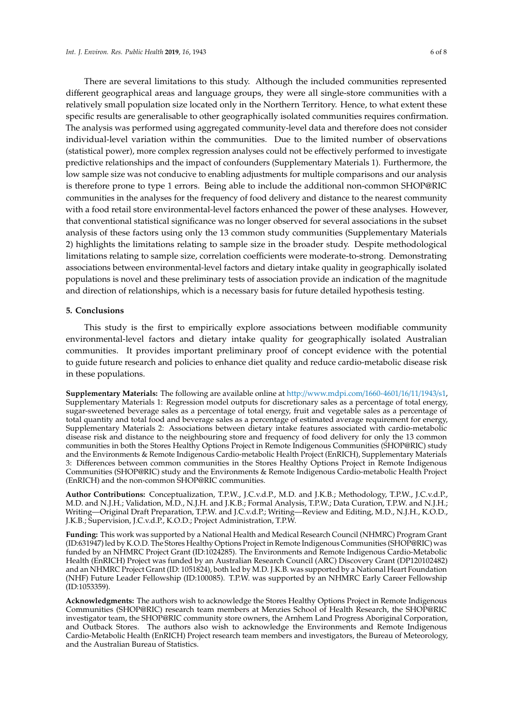There are several limitations to this study. Although the included communities represented different geographical areas and language groups, they were all single-store communities with a relatively small population size located only in the Northern Territory. Hence, to what extent these specific results are generalisable to other geographically isolated communities requires confirmation. The analysis was performed using aggregated community-level data and therefore does not consider individual-level variation within the communities. Due to the limited number of observations (statistical power), more complex regression analyses could not be effectively performed to investigate predictive relationships and the impact of confounders (Supplementary Materials 1). Furthermore, the low sample size was not conducive to enabling adjustments for multiple comparisons and our analysis is therefore prone to type 1 errors. Being able to include the additional non-common SHOP@RIC communities in the analyses for the frequency of food delivery and distance to the nearest community with a food retail store environmental-level factors enhanced the power of these analyses. However, that conventional statistical significance was no longer observed for several associations in the subset analysis of these factors using only the 13 common study communities (Supplementary Materials 2) highlights the limitations relating to sample size in the broader study. Despite methodological limitations relating to sample size, correlation coefficients were moderate-to-strong. Demonstrating associations between environmental-level factors and dietary intake quality in geographically isolated populations is novel and these preliminary tests of association provide an indication of the magnitude and direction of relationships, which is a necessary basis for future detailed hypothesis testing.

# **5. Conclusions**

This study is the first to empirically explore associations between modifiable community environmental-level factors and dietary intake quality for geographically isolated Australian communities. It provides important preliminary proof of concept evidence with the potential to guide future research and policies to enhance diet quality and reduce cardio-metabolic disease risk in these populations.

**Supplementary Materials:** The following are available online at http://[www.mdpi.com](http://www.mdpi.com/1660-4601/16/11/1943/s1)/1660-4601/16/11/1943/s1, Supplementary Materials 1: Regression model outputs for discretionary sales as a percentage of total energy, sugar-sweetened beverage sales as a percentage of total energy, fruit and vegetable sales as a percentage of total quantity and total food and beverage sales as a percentage of estimated average requirement for energy, Supplementary Materials 2: Associations between dietary intake features associated with cardio-metabolic disease risk and distance to the neighbouring store and frequency of food delivery for only the 13 common communities in both the Stores Healthy Options Project in Remote Indigenous Communities (SHOP@RIC) study and the Environments & Remote Indigenous Cardio-metabolic Health Project (EnRICH), Supplementary Materials 3: Differences between common communities in the Stores Healthy Options Project in Remote Indigenous Communities (SHOP@RIC) study and the Environments & Remote Indigenous Cardio-metabolic Health Project (EnRICH) and the non-common SHOP@RIC communities.

**Author Contributions:** Conceptualization, T.P.W., J.C.v.d.P., M.D. and J.K.B.; Methodology, T.P.W., J.C.v.d.P., M.D. and N.J.H.; Validation, M.D., N.J.H. and J.K.B.; Formal Analysis, T.P.W.; Data Curation, T.P.W. and N.J.H.; Writing—Original Draft Preparation, T.P.W. and J.C.v.d.P.; Writing—Review and Editing, M.D., N.J.H., K.O.D., J.K.B.; Supervision, J.C.v.d.P., K.O.D.; Project Administration, T.P.W.

**Funding:** This work was supported by a National Health and Medical Research Council (NHMRC) Program Grant (ID:631947) led by K.O.D. The Stores Healthy Options Project in Remote Indigenous Communities (SHOP@RIC) was funded by an NHMRC Project Grant (ID:1024285). The Environments and Remote Indigenous Cardio-Metabolic Health (EnRICH) Project was funded by an Australian Research Council (ARC) Discovery Grant (DP120102482) and an NHMRC Project Grant (ID: 1051824), both led by M.D. J.K.B. was supported by a National Heart Foundation (NHF) Future Leader Fellowship (ID:100085). T.P.W. was supported by an NHMRC Early Career Fellowship (ID:1053359).

**Acknowledgments:** The authors wish to acknowledge the Stores Healthy Options Project in Remote Indigenous Communities (SHOP@RIC) research team members at Menzies School of Health Research, the SHOP@RIC investigator team, the SHOP@RIC community store owners, the Arnhem Land Progress Aboriginal Corporation, and Outback Stores. The authors also wish to acknowledge the Environments and Remote Indigenous Cardio-Metabolic Health (EnRICH) Project research team members and investigators, the Bureau of Meteorology, and the Australian Bureau of Statistics.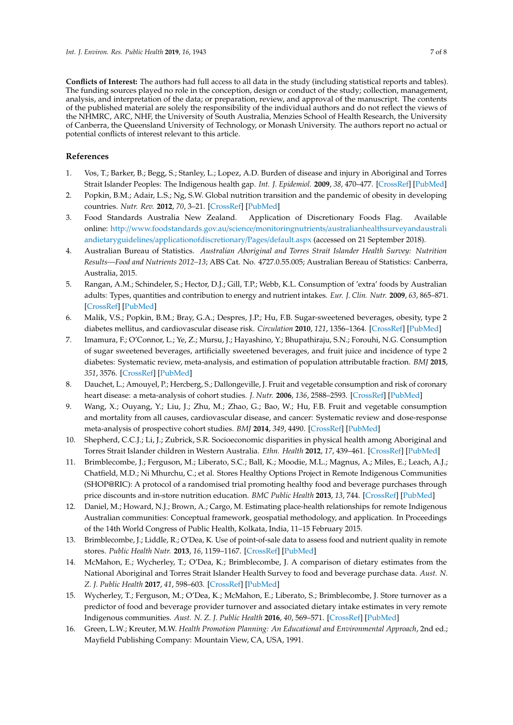**Conflicts of Interest:** The authors had full access to all data in the study (including statistical reports and tables). The funding sources played no role in the conception, design or conduct of the study; collection, management, analysis, and interpretation of the data; or preparation, review, and approval of the manuscript. The contents of the published material are solely the responsibility of the individual authors and do not reflect the views of the NHMRC, ARC, NHF, the University of South Australia, Menzies School of Health Research, the University of Canberra, the Queensland University of Technology, or Monash University. The authors report no actual or potential conflicts of interest relevant to this article.

# **References**

- <span id="page-6-0"></span>1. Vos, T.; Barker, B.; Begg, S.; Stanley, L.; Lopez, A.D. Burden of disease and injury in Aboriginal and Torres Strait Islander Peoples: The Indigenous health gap. *Int. J. Epidemiol.* **2009**, *38*, 470–477. [\[CrossRef\]](http://dx.doi.org/10.1093/ije/dyn240) [\[PubMed\]](http://www.ncbi.nlm.nih.gov/pubmed/19047078)
- <span id="page-6-1"></span>2. Popkin, B.M.; Adair, L.S.; Ng, S.W. Global nutrition transition and the pandemic of obesity in developing countries. *Nutr. Rev.* **2012**, *70*, 3–21. [\[CrossRef\]](http://dx.doi.org/10.1111/j.1753-4887.2011.00456.x) [\[PubMed\]](http://www.ncbi.nlm.nih.gov/pubmed/22221213)
- <span id="page-6-2"></span>3. Food Standards Australia New Zealand. Application of Discretionary Foods Flag. Available online: http://www.foodstandards.gov.au/science/monitoringnutrients/[australianhealthsurveyandaustrali](http://www.foodstandards.gov.au/science/monitoringnutrients/australianhealthsurveyandaustraliandietaryguidelines/applicationofdiscretionary/Pages/default.aspx) andietaryguidelines/[applicationofdiscretionary](http://www.foodstandards.gov.au/science/monitoringnutrients/australianhealthsurveyandaustraliandietaryguidelines/applicationofdiscretionary/Pages/default.aspx)/Pages/default.aspx (accessed on 21 September 2018).
- <span id="page-6-3"></span>4. Australian Bureau of Statistics. *Australian Aboriginal and Torres Strait Islander Health Survey: Nutrition Results—Food and Nutrients 2012–13*; ABS Cat. No. 4727.0.55.005; Australian Bereau of Statistics: Canberra, Australia, 2015.
- <span id="page-6-4"></span>5. Rangan, A.M.; Schindeler, S.; Hector, D.J.; Gill, T.P.; Webb, K.L. Consumption of 'extra' foods by Australian adults: Types, quantities and contribution to energy and nutrient intakes. *Eur. J. Clin. Nutr.* **2009**, *63*, 865–871. [\[CrossRef\]](http://dx.doi.org/10.1038/ejcn.2008.51) [\[PubMed\]](http://www.ncbi.nlm.nih.gov/pubmed/18957970)
- <span id="page-6-5"></span>6. Malik, V.S.; Popkin, B.M.; Bray, G.A.; Despres, J.P.; Hu, F.B. Sugar-sweetened beverages, obesity, type 2 diabetes mellitus, and cardiovascular disease risk. *Circulation* **2010**, *121*, 1356–1364. [\[CrossRef\]](http://dx.doi.org/10.1161/CIRCULATIONAHA.109.876185) [\[PubMed\]](http://www.ncbi.nlm.nih.gov/pubmed/20308626)
- <span id="page-6-6"></span>7. Imamura, F.; O'Connor, L.; Ye, Z.; Mursu, J.; Hayashino, Y.; Bhupathiraju, S.N.; Forouhi, N.G. Consumption of sugar sweetened beverages, artificially sweetened beverages, and fruit juice and incidence of type 2 diabetes: Systematic review, meta-analysis, and estimation of population attributable fraction. *BMJ* **2015**, *351*, 3576. [\[CrossRef\]](http://dx.doi.org/10.1136/bmj.h3576) [\[PubMed\]](http://www.ncbi.nlm.nih.gov/pubmed/26199070)
- <span id="page-6-7"></span>8. Dauchet, L.; Amouyel, P.; Hercberg, S.; Dallongeville, J. Fruit and vegetable consumption and risk of coronary heart disease: a meta-analysis of cohort studies. *J. Nutr.* **2006**, *136*, 2588–2593. [\[CrossRef\]](http://dx.doi.org/10.1093/jn/136.10.2588) [\[PubMed\]](http://www.ncbi.nlm.nih.gov/pubmed/16988131)
- <span id="page-6-8"></span>9. Wang, X.; Ouyang, Y.; Liu, J.; Zhu, M.; Zhao, G.; Bao, W.; Hu, F.B. Fruit and vegetable consumption and mortality from all causes, cardiovascular disease, and cancer: Systematic review and dose-response meta-analysis of prospective cohort studies. *BMJ* **2014**, *349*, 4490. [\[CrossRef\]](http://dx.doi.org/10.1136/bmj.g4490) [\[PubMed\]](http://www.ncbi.nlm.nih.gov/pubmed/25073782)
- <span id="page-6-9"></span>10. Shepherd, C.C.J.; Li, J.; Zubrick, S.R. Socioeconomic disparities in physical health among Aboriginal and Torres Strait Islander children in Western Australia. *Ethn. Health* **2012**, *17*, 439–461. [\[CrossRef\]](http://dx.doi.org/10.1080/13557858.2012.654768) [\[PubMed\]](http://www.ncbi.nlm.nih.gov/pubmed/22292856)
- <span id="page-6-10"></span>11. Brimblecombe, J.; Ferguson, M.; Liberato, S.C.; Ball, K.; Moodie, M.L.; Magnus, A.; Miles, E.; Leach, A.J.; Chatfield, M.D.; Ni Mhurchu, C.; et al. Stores Healthy Options Project in Remote Indigenous Communities (SHOP@RIC): A protocol of a randomised trial promoting healthy food and beverage purchases through price discounts and in-store nutrition education. *BMC Public Health* **2013**, *13*, 744. [\[CrossRef\]](http://dx.doi.org/10.1186/1471-2458-13-744) [\[PubMed\]](http://www.ncbi.nlm.nih.gov/pubmed/23938097)
- <span id="page-6-11"></span>12. Daniel, M.; Howard, N.J.; Brown, A.; Cargo, M. Estimating place-health relationships for remote Indigenous Australian communities: Conceptual framework, geospatial methodology, and application. In Proceedings of the 14th World Congress of Public Health, Kolkata, India, 11–15 February 2015.
- <span id="page-6-12"></span>13. Brimblecombe, J.; Liddle, R.; O'Dea, K. Use of point-of-sale data to assess food and nutrient quality in remote stores. *Public Health Nutr.* **2013**, *16*, 1159–1167. [\[CrossRef\]](http://dx.doi.org/10.1017/S1368980012004284) [\[PubMed\]](http://www.ncbi.nlm.nih.gov/pubmed/23009766)
- <span id="page-6-13"></span>14. McMahon, E.; Wycherley, T.; O'Dea, K.; Brimblecombe, J. A comparison of dietary estimates from the National Aboriginal and Torres Strait Islander Health Survey to food and beverage purchase data. *Aust. N. Z. J. Public Health* **2017**, *41*, 598–603. [\[CrossRef\]](http://dx.doi.org/10.1111/1753-6405.12718) [\[PubMed\]](http://www.ncbi.nlm.nih.gov/pubmed/29044897)
- <span id="page-6-14"></span>15. Wycherley, T.; Ferguson, M.; O'Dea, K.; McMahon, E.; Liberato, S.; Brimblecombe, J. Store turnover as a predictor of food and beverage provider turnover and associated dietary intake estimates in very remote Indigenous communities. *Aust. N. Z. J. Public Health* **2016**, *40*, 569–571. [\[CrossRef\]](http://dx.doi.org/10.1111/1753-6405.12571) [\[PubMed\]](http://www.ncbi.nlm.nih.gov/pubmed/27624683)
- <span id="page-6-15"></span>16. Green, L.W.; Kreuter, M.W. *Health Promotion Planning: An Educational and Environmental Approach*, 2nd ed.; Mayfield Publishing Company: Mountain View, CA, USA, 1991.